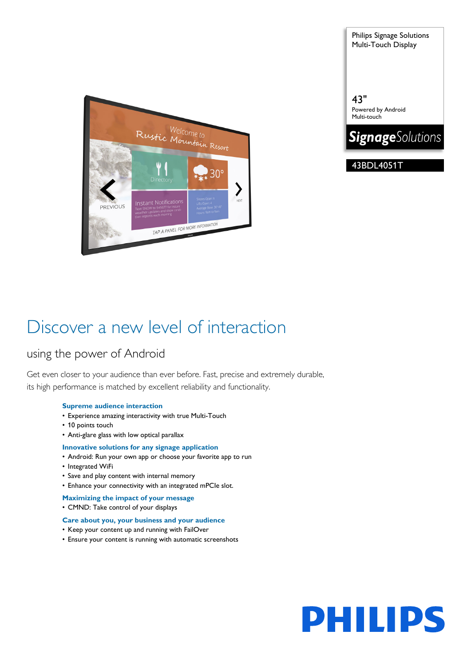

Philips Signage Solutions Multi-Touch Display

43" Powered by Android Multi-touch



43BDL4051T

# Discover a new level of interaction

# using the power of Android

Get even closer to your audience than ever before. Fast, precise and extremely durable, its high performance is matched by excellent reliability and functionality.

# **Supreme audience interaction**

- Experience amazing interactivity with true Multi-Touch
- 10 points touch
- Anti-glare glass with low optical parallax

# **Innovative solutions for any signage application**

- Android: Run your own app or choose your favorite app to run
- Integrated WiFi
- Save and play content with internal memory
- Enhance your connectivity with an integrated mPCIe slot.
- **Maximizing the impact of your message**
- CMND: Take control of your displays

# **Care about you, your business and your audience**

- Keep your content up and running with FailOver
- Ensure your content is running with automatic screenshots

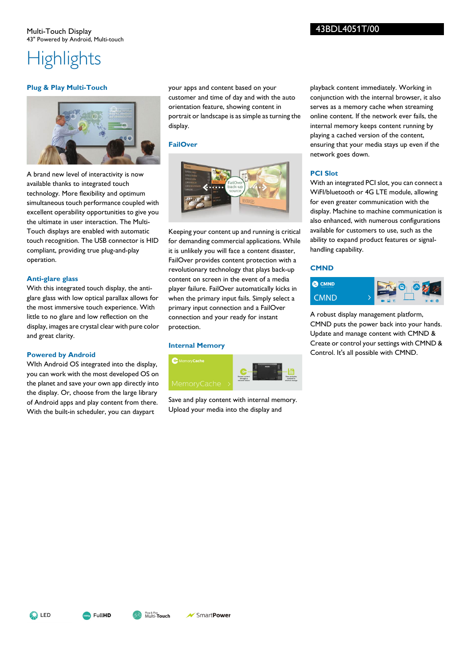# **Highlights**

# **Plug & Play Multi-Touch**



A brand new level of interactivity is now available thanks to integrated touch technology. More flexibility and optimum simultaneous touch performance coupled with excellent operability opportunities to give you the ultimate in user interaction. The Multi-Touch displays are enabled with automatic touch recognition. The USB connector is HID compliant, providing true plug-and-play operation.

# **Anti-glare glass**

With this integrated touch display, the antiglare glass with low optical parallax allows for the most immersive touch experience. With little to no glare and low reflection on the display, images are crystal clear with pure color and great clarity.

# **Powered by Android**

WIth Android OS integrated into the display, you can work with the most developed OS on the planet and save your own app directly into the display. Or, choose from the large library of Android apps and play content from there. With the built-in scheduler, you can daypart

your apps and content based on your customer and time of day and with the auto orientation feature, showing content in portrait or landscape is as simple as turning the display.

# **FailOver**



Keeping your content up and running is critical for demanding commercial applications. While it is unlikely you will face a content disaster, FailOver provides content protection with a revolutionary technology that plays back-up content on screen in the event of a media player failure. FailOver automatically kicks in when the primary input fails. Simply select a primary input connection and a FailOver connection and your ready for instant protection.

# **Internal Memory**



Save and play content with internal memory. Upload your media into the display and

playback content immediately. Working in conjunction with the internal browser, it also serves as a memory cache when streaming online content. If the network ever fails, the internal memory keeps content running by playing a cached version of the content, ensuring that your media stays up even if the network goes down.

# **PCI Slot**

With an integrated PCI slot, you can connect a WiFI/bluetooth or 4G LTE module, allowing for even greater communication with the display. Machine to machine communication is also enhanced, with numerous configurations available for customers to use, such as the ability to expand product features or signalhandling capability.

# **CMND**



A robust display management platform, CMND puts the power back into your hands. Update and manage content with CMND & Create or control your settings with CMND & Control. It's all possible with CMND.

**SING** LED



Multi-**Touch** Plug & Play